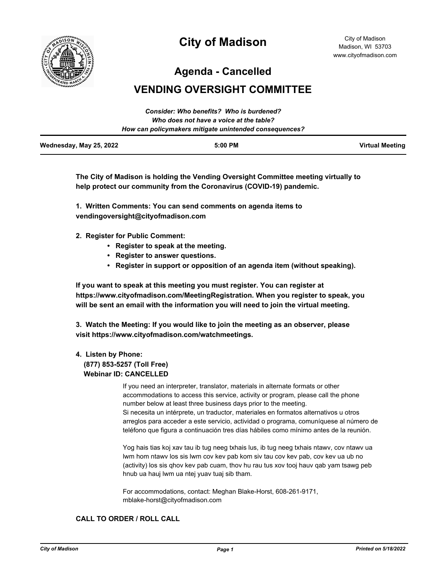

# **City of Madison**

City of Madison Madison, WI 53703 www.cityofmadison.com

**Agenda - Cancelled**

# **VENDING OVERSIGHT COMMITTEE**

|                         | Consider: Who benefits? Who is burdened?               |                        |
|-------------------------|--------------------------------------------------------|------------------------|
|                         | Who does not have a voice at the table?                |                        |
|                         | How can policymakers mitigate unintended consequences? |                        |
| Wednesday, May 25, 2022 | $5:00$ PM                                              | <b>Virtual Meeting</b> |

**The City of Madison is holding the Vending Oversight Committee meeting virtually to help protect our community from the Coronavirus (COVID-19) pandemic.**

**1. Written Comments: You can send comments on agenda items to vendingoversight@cityofmadison.com**

- **2. Register for Public Comment:** 
	- **Register to speak at the meeting.**
	- **Register to answer questions.**
	- **Register in support or opposition of an agenda item (without speaking).**

**If you want to speak at this meeting you must register. You can register at https://www.cityofmadison.com/MeetingRegistration. When you register to speak, you will be sent an email with the information you will need to join the virtual meeting.**

**3. Watch the Meeting: If you would like to join the meeting as an observer, please visit https://www.cityofmadison.com/watchmeetings.**

#### **4. Listen by Phone: (877) 853-5257 (Toll Free)**

## **Webinar ID: CANCELLED**

If you need an interpreter, translator, materials in alternate formats or other accommodations to access this service, activity or program, please call the phone number below at least three business days prior to the meeting. Si necesita un intérprete, un traductor, materiales en formatos alternativos u otros arreglos para acceder a este servicio, actividad o programa, comuníquese al número de teléfono que figura a continuación tres días hábiles como mínimo antes de la reunión.

Yog hais tias koj xav tau ib tug neeg txhais lus, ib tug neeg txhais ntawv, cov ntawv ua lwm hom ntawv los sis lwm cov kev pab kom siv tau cov kev pab, cov kev ua ub no (activity) los sis qhov kev pab cuam, thov hu rau tus xov tooj hauv qab yam tsawg peb hnub ua hauj lwm ua ntej yuav tuaj sib tham.

For accommodations, contact: Meghan Blake-Horst, 608-261-9171, mblake-horst@cityofmadison.com

### **CALL TO ORDER / ROLL CALL**